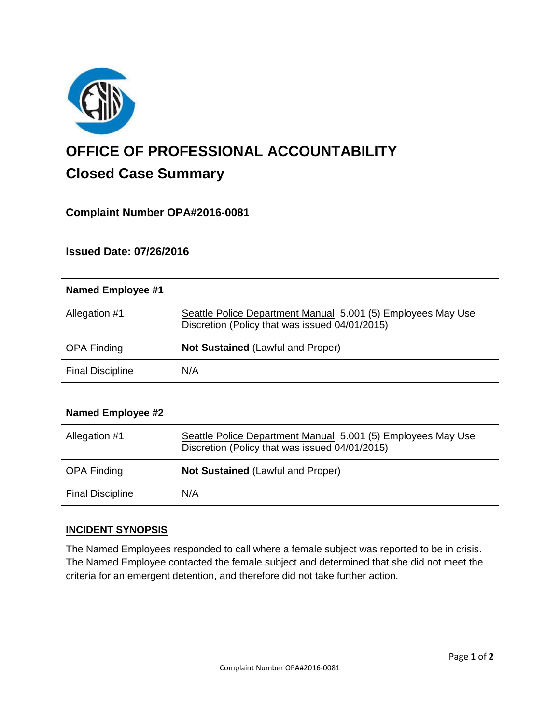

# **OFFICE OF PROFESSIONAL ACCOUNTABILITY Closed Case Summary**

## **Complaint Number OPA#2016-0081**

## **Issued Date: 07/26/2016**

| Named Employee #1       |                                                                                                                |
|-------------------------|----------------------------------------------------------------------------------------------------------------|
| Allegation #1           | Seattle Police Department Manual 5.001 (5) Employees May Use<br>Discretion (Policy that was issued 04/01/2015) |
| <b>OPA Finding</b>      | <b>Not Sustained (Lawful and Proper)</b>                                                                       |
| <b>Final Discipline</b> | N/A                                                                                                            |

| Named Employee #2       |                                                                                                                |
|-------------------------|----------------------------------------------------------------------------------------------------------------|
| Allegation #1           | Seattle Police Department Manual 5.001 (5) Employees May Use<br>Discretion (Policy that was issued 04/01/2015) |
| <b>OPA Finding</b>      | <b>Not Sustained (Lawful and Proper)</b>                                                                       |
| <b>Final Discipline</b> | N/A                                                                                                            |

### **INCIDENT SYNOPSIS**

The Named Employees responded to call where a female subject was reported to be in crisis. The Named Employee contacted the female subject and determined that she did not meet the criteria for an emergent detention, and therefore did not take further action.